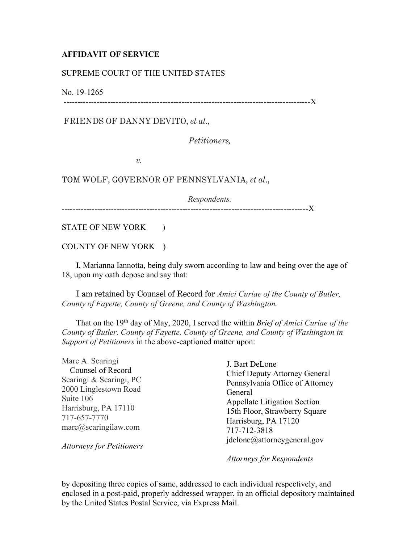## **AFFIDAVIT OF SERVICE**

## SUPREME COURT OF THE UNITED STATES

No. 19-1265

------------------------------------------------------------------------------------------X

FRIENDS OF DANNY DEVITO, *et al*.,

*Petitioners,*

*v.*

## TOM WOLF, GOVERNOR OF PENNSYLVANIA, *et al*.,

*Respondents.*

------------------------------------------------------------------------------------------X

STATE OF NEW YORK  $\qquad$  )

COUNTY OF NEW YORK )

 I, Marianna Iannotta, being duly sworn according to law and being over the age of 18, upon my oath depose and say that:

 I am retained by Counsel of Record for *Amici Curiae of the County of Butler, County of Fayette, County of Greene, and County of Washington.*

That on the 19<sup>th</sup> day of May, 2020, I served the within *Brief of Amici Curiae of the County of Butler, County of Fayette, County of Greene, and County of Washington in Support of Petitioners* in the above-captioned matter upon:

| Marc A. Scaringi                 |
|----------------------------------|
| Counsel of Record                |
| Scaringi & Scaringi, PC          |
| 2000 Linglestown Road            |
| Suite 106                        |
| Harrisburg, PA 17110             |
| 717-657-7770                     |
| $\text{marc}(a)$ scaringilaw.com |

*Attorneys for Petitioners*

J. Bart DeLone Chief Deputy Attorney General Pennsylvania Office of Attorney General Appellate Litigation Section 15th Floor, Strawberry Square Harrisburg, PA 17120 717-712-3818 jdelone@attorneygeneral.gov

*Attorneys for Respondents*

by depositing three copies of same, addressed to each individual respectively, and enclosed in a post-paid, properly addressed wrapper, in an official depository maintained by the United States Postal Service, via Express Mail.